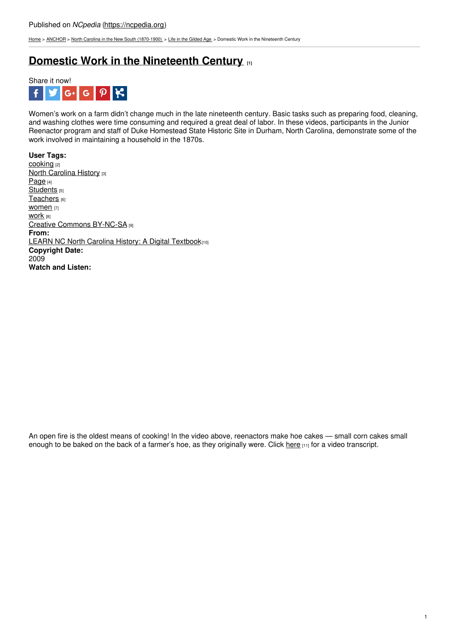[Home](https://ncpedia.org/) > [ANCHOR](https://ncpedia.org/anchor/anchor) > North Carolina in the New South [\(1870-1900\)](https://ncpedia.org/anchor/north-carolina-new-south) > Life in the [Gilded](https://ncpedia.org/anchor/life-gilded-age) Age > Domestic Work in the Nineteenth Century

## **Domestic Work in the [Nineteenth](https://ncpedia.org/anchor/domestic-work-nineteenth) Century [1]**



Women's work on a farm didn't change much in the late nineteenth century. Basic tasks such as preparing food, cleaning, and washing clothes were time consuming and required a great deal of labor. In these videos, participants in the Junior Reenactor program and staff of Duke Homestead State Historic Site in Durham, North Carolina, demonstrate some of the work involved in maintaining a household in the 1870s.

**User Tags:** [cooking](https://ncpedia.org/category/user-tags/cooking) [2] **North [Carolina](https://ncpedia.org/category/user-tags/north-carolina-6) History [3]** [Page](https://ncpedia.org/category/user-tags/page) [4] [Students](https://ncpedia.org/category/user-tags/students) [5] **[Teachers](https://ncpedia.org/category/user-tags/teachers)** [6] [women](https://ncpedia.org/category/user-tags/women) [7] WOrk [8] Creative Commons [BY-NC-SA](https://ncpedia.org/category/user-tags/creative-commons) [9] **From:** LEARN NC North Carolina History: A Digital [Textbook](https://ncpedia.org/category/entry-source/learn-nc)[10] **Copyright Date:** 2009 **Watch and Listen:**

An open fire is the oldest means of cooking! In the video above, reenactors make hoe cakes — small corn cakes small enough to be baked on the back of a farmer's hoe, as they originally were. Click [here](https://ncpedia.org/media/video/cooking-hoe-cakes-open) [11] for a video transcript.